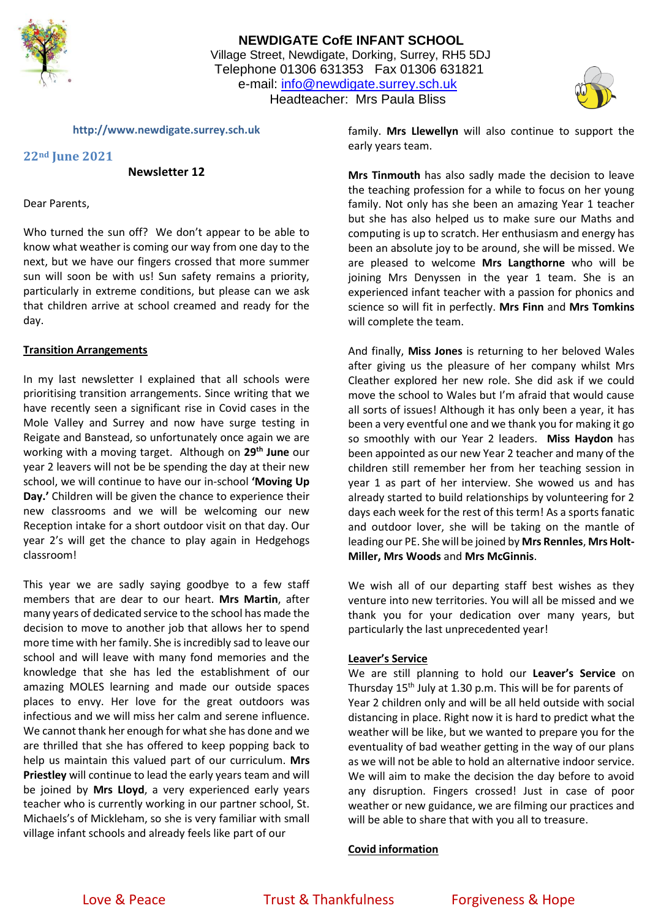

# **NEWDIGATE CofE INFANT SCHOOL** Village Street, Newdigate, Dorking, Surrey, RH5 5DJ Telephone 01306 631353 Fax 01306 631821 e-mail: [info@newdigate.surrey.sch.uk](mailto:info@newdigate.surrey.sch.uk) Headteacher: Mrs Paula Bliss



**http://www.newdigate.surrey.sch.uk**

## **22nd June 2021**

**Newsletter 12**

Dear Parents,

Who turned the sun off? We don't appear to be able to know what weather is coming our way from one day to the next, but we have our fingers crossed that more summer sun will soon be with us! Sun safety remains a priority, particularly in extreme conditions, but please can we ask that children arrive at school creamed and ready for the day.

### **Transition Arrangements**

In my last newsletter I explained that all schools were prioritising transition arrangements. Since writing that we have recently seen a significant rise in Covid cases in the Mole Valley and Surrey and now have surge testing in Reigate and Banstead, so unfortunately once again we are working with a moving target. Although on **29th June** our year 2 leavers will not be be spending the day at their new school, we will continue to have our in-school **'Moving Up Day.'** Children will be given the chance to experience their new classrooms and we will be welcoming our new Reception intake for a short outdoor visit on that day. Our year 2's will get the chance to play again in Hedgehogs classroom!

This year we are sadly saying goodbye to a few staff members that are dear to our heart. **Mrs Martin**, after many years of dedicated service to the school has made the decision to move to another job that allows her to spend more time with her family. She is incredibly sad to leave our school and will leave with many fond memories and the knowledge that she has led the establishment of our amazing MOLES learning and made our outside spaces places to envy. Her love for the great outdoors was infectious and we will miss her calm and serene influence. We cannot thank her enough for what she has done and we are thrilled that she has offered to keep popping back to help us maintain this valued part of our curriculum. **Mrs Priestley** will continue to lead the early years team and will be joined by **Mrs Lloyd**, a very experienced early years teacher who is currently working in our partner school, St. Michaels's of Mickleham, so she is very familiar with small village infant schools and already feels like part of our

family. **Mrs Llewellyn** will also continue to support the early years team.

**Mrs Tinmouth** has also sadly made the decision to leave the teaching profession for a while to focus on her young family. Not only has she been an amazing Year 1 teacher but she has also helped us to make sure our Maths and computing is up to scratch. Her enthusiasm and energy has been an absolute joy to be around, she will be missed. We are pleased to welcome **Mrs Langthorne** who will be joining Mrs Denyssen in the year 1 team. She is an experienced infant teacher with a passion for phonics and science so will fit in perfectly. **Mrs Finn** and **Mrs Tomkins** will complete the team.

And finally, **Miss Jones** is returning to her beloved Wales after giving us the pleasure of her company whilst Mrs Cleather explored her new role. She did ask if we could move the school to Wales but I'm afraid that would cause all sorts of issues! Although it has only been a year, it has been a very eventful one and we thank you for making it go so smoothly with our Year 2 leaders. **Miss Haydon** has been appointed as our new Year 2 teacher and many of the children still remember her from her teaching session in year 1 as part of her interview. She wowed us and has already started to build relationships by volunteering for 2 days each week for the rest of this term! As a sports fanatic and outdoor lover, she will be taking on the mantle of leading our PE. She will be joined by **Mrs Rennles**, **Mrs Holt-Miller, Mrs Woods** and **Mrs McGinnis**.

We wish all of our departing staff best wishes as they venture into new territories. You will all be missed and we thank you for your dedication over many years, but particularly the last unprecedented year!

### **Leaver's Service**

We are still planning to hold our **Leaver's Service** on Thursday 15th July at 1.30 p.m. This will be for parents of Year 2 children only and will be all held outside with social distancing in place. Right now it is hard to predict what the weather will be like, but we wanted to prepare you for the eventuality of bad weather getting in the way of our plans as we will not be able to hold an alternative indoor service. We will aim to make the decision the day before to avoid any disruption. Fingers crossed! Just in case of poor weather or new guidance, we are filming our practices and will be able to share that with you all to treasure.

### **Covid information**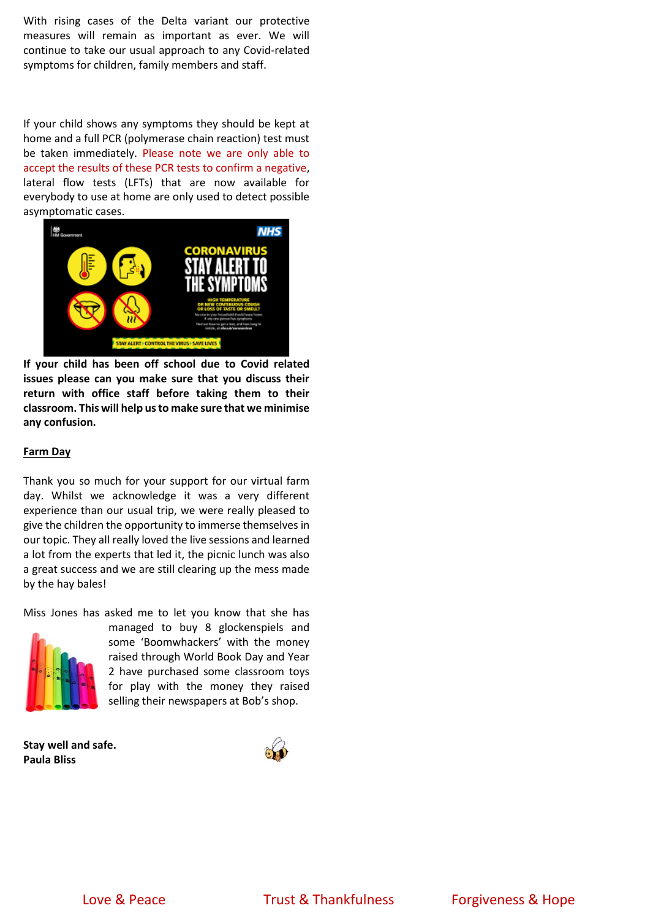With rising cases of the Delta variant our protective measures will remain as important as ever. We will continue to take our usual approach to any Covid-related symptoms for children, family members and staff.

If your child shows any symptoms they should be kept at home and a full PCR (polymerase chain reaction) test must be taken immediately. Please note we are only able to accept the results of these PCR tests to confirm a negative, lateral flow tests (LFTs) that are now available for everybody to use at home are only used to detect possible asymptomatic cases.



**If your child has been off school due to Covid related issues please can you make sure that you discuss their return with office staff before taking them to their classroom. This will help us to make sure that we minimise any confusion.**

#### **Farm Day**

Thank you so much for your support for our virtual farm day. Whilst we acknowledge it was a very different experience than our usual trip, we were really pleased to give the children the opportunity to immerse themselves in our topic. They all really loved the live sessions and learned a lot from the experts that led it, the picnic lunch was also a great success and we are still clearing up the mess made by the hay bales!

Miss Jones has asked me to let you know that she has



managed to buy 8 glockenspiels and some 'Boomwhackers' with the money raised through World Book Day and Year 2 have purchased some classroom toys for play with the money they raised selling their newspapers at Bob's shop.

**Stay well and safe. Paula Bliss**



Love & Peace Trust & Thankfulness Forgiveness & Hope